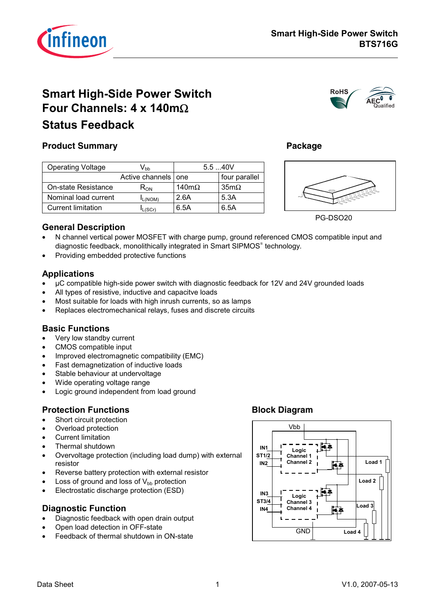

**RoHS** 

# **Smart High-Side Power Switch** Four Channels:  $4 \times 140 \text{m}\Omega$ **Status Feedback**



Package

# **Product Summary**

| <b>Operating Voltage</b>  | Vhh                   | $5.5 - 40V$   |               |  |
|---------------------------|-----------------------|---------------|---------------|--|
|                           | Active channels   one |               | four parallel |  |
| On-state Resistance       | К <sub>ОN</sub>       | 140m $\Omega$ | $35m\Omega$   |  |
| Nominal load current      | L(NOM)                | 2.6A          | 5.3A          |  |
| <b>Current limitation</b> | L(SCr)                | 6.5A          | 6.5A          |  |



PG-DSO20

#### **General Description**

- N channel vertical power MOSFET with charge pump, ground referenced CMOS compatible input and  $\bullet$ diagnostic feedback, monolithically integrated in Smart SIPMOS® technology.
- Providing embedded protective functions

### **Applications**

- µC compatible high-side power switch with diagnostic feedback for 12V and 24V grounded loads
- All types of resistive, inductive and capacitve loads
- Most suitable for loads with high inrush currents, so as lamps
- Replaces electromechanical relays, fuses and discrete circuits

#### **Basic Functions**

- Very low standby current
- CMOS compatible input  $\bullet$
- Improved electromagnetic compatibility (EMC)  $\bullet$
- Fast demagnetization of inductive loads  $\bullet$
- Stable behaviour at undervoltage  $\bullet$
- Wide operating voltage range
- Logic ground independent from load ground

#### **Protection Functions**

- Short circuit protection  $\bullet$
- Overload protection  $\bullet$
- **Current limitation**  $\bullet$
- Thermal shutdown
- Overvoltage protection (including load dump) with external resistor
- Reverse battery protection with external resistor  $\bullet$
- Loss of ground and loss of  $V_{bb}$  protection
- Electrostatic discharge protection (ESD)  $\bullet$

#### **Diagnostic Function**

- Diagnostic feedback with open drain output
- Open load detection in OFF-state
- Feedback of thermal shutdown in ON-state

### **Block Diagram**

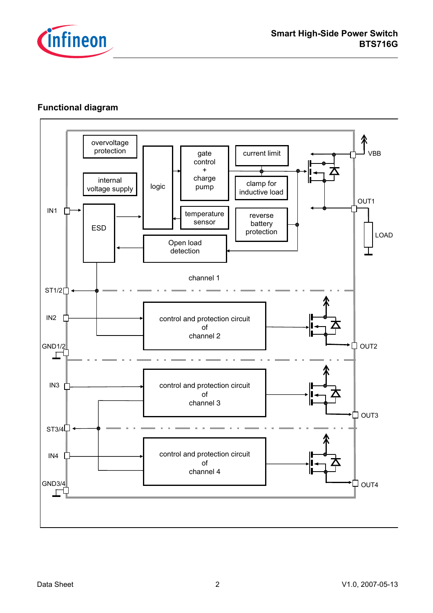

## Functional diagram

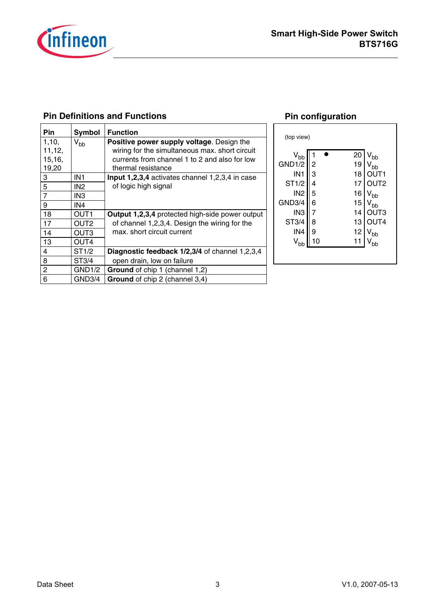

### **Pin Definitions and Functions**

| Pin            | Symbol           | <b>Function</b>                                        |
|----------------|------------------|--------------------------------------------------------|
| 1,10,          | $V_{bb}$         | Positive power supply voltage. Design the              |
| 11, 12,        |                  | wiring for the simultaneous max. short circuit         |
| 15,16,         |                  | currents from channel 1 to 2 and also for low          |
| 19,20          |                  | thermal resistance                                     |
| 3              | IN1              | Input 1,2,3,4 activates channel 1,2,3,4 in case        |
| 5              | IN <sub>2</sub>  | of logic high signal                                   |
| 7              | IN <sub>3</sub>  |                                                        |
| 9              | IN4              |                                                        |
| 18             | OUT <sub>1</sub> | <b>Output 1,2,3,4 protected high-side power output</b> |
| 17             | OUT <sub>2</sub> | of channel 1,2,3,4. Design the wiring for the          |
| 14             | OUT <sub>3</sub> | max. short circuit current                             |
| 13             | OUT4             |                                                        |
| 4              | ST1/2            | Diagnostic feedback 1/2,3/4 of channel 1,2,3,4         |
| 8              | ST3/4            | open drain, low on failure                             |
| $\overline{c}$ | GND1/2           | Ground of chip 1 (channel 1,2)                         |
| 6              | GND3/4           | Ground of chip 2 (channel 3,4)                         |

### **Pin configuration**

|                                                                                                                                                                                                                                                                                     | (top view) |  |  |
|-------------------------------------------------------------------------------------------------------------------------------------------------------------------------------------------------------------------------------------------------------------------------------------|------------|--|--|
| 20<br>$\rm V_{bb}$<br>bb<br>GND1/2<br>19<br>2<br><b>oh</b><br>IN <sub>1</sub><br>3<br>18<br>ST1/2<br>17<br>Т2<br>4<br>IN <sub>2</sub><br>5<br>16<br>bb<br>GND3/4<br>6<br>15<br>bb<br>IN <sub>3</sub><br>ТЗ<br>14<br>ST3/4<br>T4<br>13<br>8<br>IN <sub>4</sub><br>12<br>9<br>bb<br>∩ |            |  |  |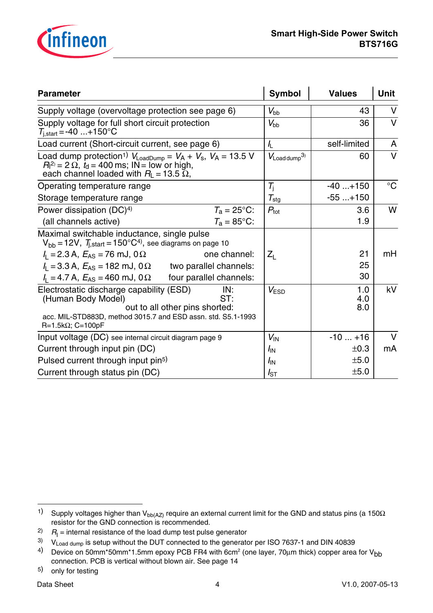

| <b>Parameter</b>                                                                                                                                                                                                 | <b>Symbol</b>              | <b>Values</b>     | <b>Unit</b> |
|------------------------------------------------------------------------------------------------------------------------------------------------------------------------------------------------------------------|----------------------------|-------------------|-------------|
| Supply voltage (overvoltage protection see page 6)                                                                                                                                                               | $V_{\rm bb}$               | 43                | $\vee$      |
| Supply voltage for full short circuit protection<br>$T_{i,start} = -40 \dots + 150^{\circ}C$                                                                                                                     | $V_{\rm bb}$               | 36                | $\vee$      |
| Load current (Short-circuit current, see page 6)                                                                                                                                                                 | $\sqrt{2}$                 | self-limited      | A           |
| Load dump protection <sup>1)</sup> $V_{\text{LoadDump}} = V_A + V_s$ , $V_A = 13.5$ V<br>$R_1^{2} = 2 \Omega$ , $t_d = 400$ ms; IN = low or high,<br>each channel loaded with $R_{\mathsf{L}} = 13.5 \ \Omega$ , | $V_{\text{Load dump}}^{3}$ | 60                | $\vee$      |
| Operating temperature range                                                                                                                                                                                      | $T_{\rm i}$                | $-40+150$         | $^{\circ}C$ |
| Storage temperature range                                                                                                                                                                                        | $\tau_{\text{stg}}$        | $-55+150$         |             |
| Power dissipation (DC) <sup>4)</sup><br>$T_a = 25^{\circ}$ C:                                                                                                                                                    | $P_{\text{tot}}$           | 3.6               | W           |
| $T_a = 85$ °C:<br>(all channels active)                                                                                                                                                                          |                            | 1.9               |             |
| Maximal switchable inductance, single pulse<br>$V_{bb}$ = 12V, $T_{i,start}$ = 150°C <sup>4)</sup> , see diagrams on page 10                                                                                     |                            |                   |             |
| $I_1 = 2.3$ A, $E_{AS} = 76$ mJ, 0 $\Omega$<br>one channel:                                                                                                                                                      | $Z_{L}$                    | 21                | mH          |
| $I_{L}$ = 3.3 A, $E_{AS}$ = 182 mJ, 0 $\Omega$<br>two parallel channels:                                                                                                                                         |                            | 25                |             |
| $I_1 = 4.7$ A, $E_{AS} = 460$ mJ, 0 $\Omega$<br>four parallel channels:                                                                                                                                          |                            | 30                |             |
| Electrostatic discharge capability (ESD)<br>IN:<br>ST:<br>(Human Body Model)<br>out to all other pins shorted:<br>acc. MIL-STD883D, method 3015.7 and ESD assn. std. S5.1-1993                                   | $V_{ESD}$                  | 1.0<br>4.0<br>8.0 | kV          |
| $R=1.5k\Omega$ ; C=100pF                                                                                                                                                                                         |                            |                   |             |
| Input voltage (DC) see internal circuit diagram page 9                                                                                                                                                           | $V_{\text{IN}}$            | $-10+16$          | $\vee$      |
| Current through input pin (DC)                                                                                                                                                                                   | $I_{\text{IN}}$            | ±0.3              | mA          |
| Pulsed current through input pin <sup>5)</sup>                                                                                                                                                                   | $I_{\rm IN}$               | ±5.0              |             |
| Current through status pin (DC)                                                                                                                                                                                  | $I_{ST}$                   | ±5.0              |             |

<sup>1)</sup> Supply voltages higher than V<sub>bb(AZ)</sub> require an external current limit for the GND and status pins (a 150 $\Omega$ resistor for the GND connection is recommended.

<sup>&</sup>lt;sup>2)</sup>  $R$ <sub>I</sub> = internal resistance of the load dump test pulse generator

 $3)$  V<sub>Load dump</sub> is setup without the DUT connected to the generator per ISO 7637-1 and DIN 40839

<sup>&</sup>lt;sup>4)</sup> Device on 50mm\*50mm\*1.5mm epoxy PCB FR4 with 6cm<sup>2</sup> (one layer, 70μm thick) copper area for V<sub>bb</sub> connection. PCB is vertical without blown air. See page 14

<sup>5)</sup> only for testing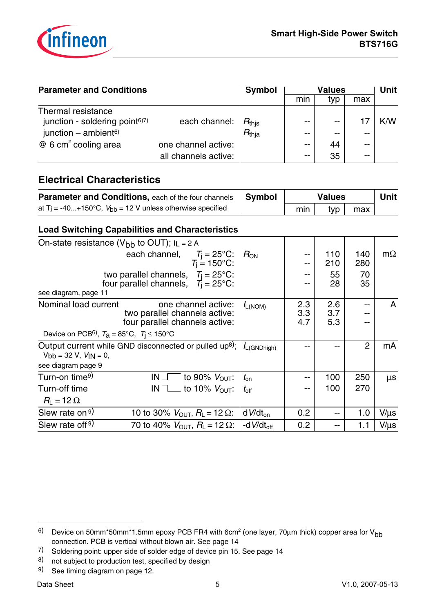

| <b>Parameter and Conditions</b>                                                                        | <b>Symbol</b>        | <b>Values</b>                       |                          |             | Unit  |     |
|--------------------------------------------------------------------------------------------------------|----------------------|-------------------------------------|--------------------------|-------------|-------|-----|
|                                                                                                        |                      |                                     | min                      | typ         | max   |     |
| Thermal resistance<br>junction - soldering point <sup>6)7)</sup><br>junction $-$ ambient <sup>6)</sup> | each channel:        | $R_{\rm this}$<br>$R_{\text{thja}}$ | $- -$<br>$- -$           | $- -$<br>-- | $- -$ | K/W |
| $@6$ cm <sup>2</sup> cooling area                                                                      | one channel active:  |                                     | $\overline{\phantom{m}}$ | 44          | $ -$  |     |
|                                                                                                        | all channels active: |                                     | $- -$                    | 35          | $- -$ |     |

## **Electrical Characteristics**

| <b>Parameter and Conditions, each of the four channels   Symbol</b>       |     | <b>Values</b> |     | Unit |
|---------------------------------------------------------------------------|-----|---------------|-----|------|
| at T <sub>j</sub> = -40+150°C, $V_{bb}$ = 12 V unless otherwise specified | min | tvp           | max |      |

## **Load Switching Capabilities and Characteristics**

| On-state resistance ( $V_{bb}$ to OUT); $I_L = 2 A$                                                                |                                                                                               |                                           |                  |                   |                   |                |           |
|--------------------------------------------------------------------------------------------------------------------|-----------------------------------------------------------------------------------------------|-------------------------------------------|------------------|-------------------|-------------------|----------------|-----------|
|                                                                                                                    | each channel, $T_i = 25^{\circ}$ C:                                                           | $T_{\rm i} = 150^{\circ}$ C:              | $R_{ON}$         |                   | 110<br>210        | 140<br>280     | $m\Omega$ |
|                                                                                                                    | two parallel channels, $T_i = 25^{\circ}$ C:<br>four parallel channels, $T_1 = 25^{\circ}$ C: |                                           |                  |                   | 55<br>28          | 70<br>35       |           |
| see diagram, page 11                                                                                               |                                                                                               |                                           |                  |                   |                   |                |           |
| Nominal load current                                                                                               | two parallel channels active:<br>four parallel channels active:                               | one channel active:                       | $I_{L(NOM)}$     | 2.3<br>3.3<br>4.7 | 2.6<br>3.7<br>5.3 | --<br>--       | A         |
| Device on PCB <sup>6)</sup> , $T_a = 85^{\circ}$ C, $T_i \le 150^{\circ}$ C                                        |                                                                                               |                                           |                  |                   |                   |                |           |
| Output current while GND disconnected or pulled up <sup>8)</sup> ;<br>$Vbb = 32 V, VIN = 0,$<br>see diagram page 9 |                                                                                               |                                           | $I_{L(GNDhigh)}$ |                   |                   | $\overline{2}$ | mA        |
| Turn-on time <sup>9)</sup>                                                                                         |                                                                                               | IN $\Gamma$ to 90% $V_{\text{OUT}}$ :     | $t_{\rm on}$     |                   | 100               | 250            | $\mu$ s   |
| Turn-off time                                                                                                      |                                                                                               | IN $\mathbb{L}$ to 10% $V_{\text{OUT}}$ : | $t_{\rm off}$    |                   | 100               | 270            |           |
| $R_{L}$ = 12 $\Omega$                                                                                              |                                                                                               |                                           |                  |                   |                   |                |           |
| Slew rate on 9)                                                                                                    | 10 to 30% $V_{\text{OUT}}$ , $R_{\text{L}} = 12 \,\Omega$ :                                   |                                           | $dV/dt_{on}$     | 0.2 <sub>0</sub>  | --                | 1.0            | $V/\mu s$ |
| Slew rate of <sup>9)</sup>                                                                                         | 70 to 40% $V_{\text{OUT}}$ , $R_{\text{L}} = 12 \,\Omega$ :                                   |                                           | -d $V/dt_{off}$  | 0.2               |                   | 1.1            | $V/\mu s$ |

8) not subject to production test, specified by design

<sup>&</sup>lt;sup>6)</sup> Device on 50mm\*50mm\*1.5mm epoxy PCB FR4 with 6cm $^2$  (one layer, 70μm thick) copper area for V<sub>bb</sub> connection. PCB is vertical without blown air. See page 14

<sup>7)</sup> Soldering point: upper side of solder edge of device pin 15. See page 14

<sup>9)</sup> See timing diagram on page 12.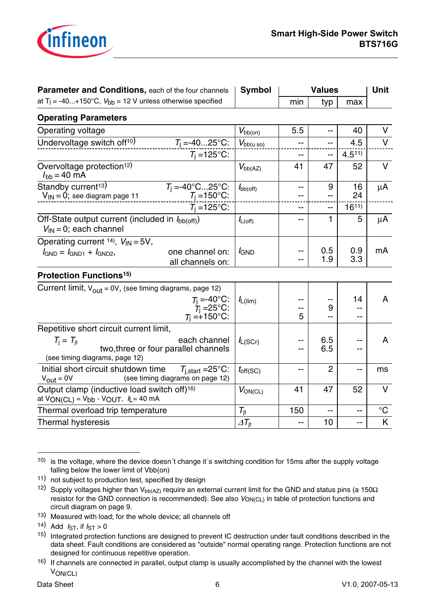

| <b>Parameter and Conditions, each of the four channels</b>                                                                        | <b>Symbol</b>                 |                | Unit       |            |             |
|-----------------------------------------------------------------------------------------------------------------------------------|-------------------------------|----------------|------------|------------|-------------|
| at T <sub>j</sub> = -40+150°C, $V_{bb}$ = 12 V unless otherwise specified                                                         |                               | min            | typ        | max        |             |
| <b>Operating Parameters</b>                                                                                                       |                               |                |            |            |             |
| Operating voltage                                                                                                                 | $V_{\text{bb}(on)}$           | 5.5            | --         | 40         | V           |
| Undervoltage switch off <sup>10)</sup><br>$T_1 = -4025$ °C:                                                                       | $V_{\text{bb}(u \text{ so})}$ | $-$            | --         | 4.5        | $\vee$      |
| $T_i = 125$ °C:                                                                                                                   |                               | --             | $-$        | $4.5^{11}$ |             |
| Overvoltage protection <sup>12)</sup><br>$I_{\text{bb}} = 40 \text{ mA}$                                                          | $V_{bb(AZ)}$                  | 41             | 47         | 52         | V           |
| Standby current <sup>13)</sup><br>$T_j = -40^{\circ}C25^{\circ}C:$<br>$T_j = 150^{\circ}C:$<br>$V_{IN} = 0$ ; see diagram page 11 | $I_{\text{bb(off)}}$          | --<br>--       | 9          | 16<br>24   | μA          |
| $T_i = 125$ °C:                                                                                                                   |                               | $\overline{a}$ | $-$        | $16^{11}$  |             |
| Off-State output current (included in $I_{\text{bb}}(\text{off})$ )<br>$V_{\text{IN}} = 0$ ; each channel                         | $I_{L(\text{off})}$           | $-$            | 1          | 5          | $\mu$ A     |
| Operating current $^{14}$ , $V_{\text{IN}} = 5V$ ,                                                                                |                               |                |            |            |             |
| one channel on:<br>$I_{GND} = I_{GND1} + I_{GND2}$<br>all channels on:                                                            | <i>I</i> GND                  | --<br>--       | 0.5<br>1.9 | 0.9<br>3.3 | mA          |
| <b>Protection Functions<sup>15)</sup></b>                                                                                         |                               |                |            |            |             |
| Current limit, $V_{\text{out}} = 0V$ , (see timing diagrams, page 12)                                                             |                               |                |            |            |             |
| $T_{\rm j} = -40^{\circ}$ C:<br>$T_{\rm j} = 25^{\circ}$ C:                                                                       | $I_{L(lim)}$                  |                | --         | 14         | A           |
| $T_1 = +150$ °C:                                                                                                                  |                               | --<br>5        | 9<br>$-$   | $-$        |             |
| Repetitive short circuit current limit,                                                                                           |                               |                |            |            |             |
| $T_i = T_{it}$<br>each channel<br>two, three or four parallel channels<br>(see timing diagrams, page 12)                          | $I_{L(SCr)}$                  | --             | 6.5<br>6.5 | --         | A           |
| Initial short circuit shutdown time<br>$T_{i,start} = 25^{\circ}C$ :<br>(see timing diagrams on page 12)<br>$V_{\text{out}} = 0V$ | $t_{\text{off}(\text{SC})}$   | --             | 2          | --         | ms          |
| Output clamp (inductive load switch off) <sup>16)</sup><br>at $VON(CL) = Vbb - VOUT$ , $I = 40 mA$                                | $V_{ON(CL)}$                  | 41             | 47         | 52         | $\vee$      |
| Thermal overload trip temperature                                                                                                 | $T_{\rm it}$                  | 150            | --         | --         | $^{\circ}C$ |
| <b>Thermal hysteresis</b>                                                                                                         | $\varDelta T_\text{it}$       | --             | 10         | --         | K           |

<sup>10)</sup> is the voltage, where the device doesn´t change it´s switching condition for 15ms after the supply voltage falling below the lower limit of Vbb(on)

<sup>11)</sup> not subject to production test, specified by design

<sup>12)</sup> Supply voltages higher than V<sub>bb(AZ)</sub> require an external current limit for the GND and status pins (a 150 $\Omega$ resistor for the GND connection is recommended). See also VON(CL) in table of protection functions and circuit diagram on page 9.

<sup>13)</sup> Measured with load; for the whole device; all channels off

<sup>14)</sup> Add  $I_{ST}$ , if  $I_{ST} > 0$ 

<sup>15)</sup> Integrated protection functions are designed to prevent IC destruction under fault conditions described in the data sheet. Fault conditions are considered as "outside" normal operating range. Protection functions are not designed for continuous repetitive operation.

<sup>16)</sup> If channels are connected in parallel, output clamp is usually accomplished by the channel with the lowest VON(CL)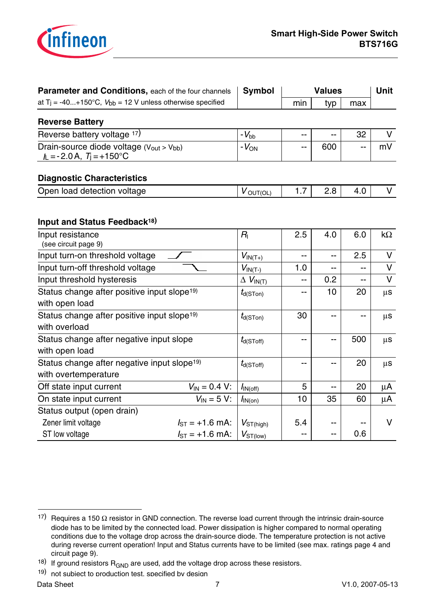

| Parameter and Conditions, each of the four channels                          |                         | <b>Symbol</b>               |     | <b>Values</b>            |            | <b>Unit</b> |
|------------------------------------------------------------------------------|-------------------------|-----------------------------|-----|--------------------------|------------|-------------|
| at T <sub>j</sub> = -40+150°C, $V_{bb}$ = 12 V unless otherwise specified    |                         |                             | min | typ                      | max        |             |
| <b>Reverse Battery</b>                                                       |                         |                             |     |                          |            |             |
| Reverse battery voltage 17)                                                  |                         | $-V_{\rm bb}$               | --  |                          | 32         | V           |
| Drain-source diode voltage (Vout > Vbb)<br>$L = -2.0A$ , $T = +150^{\circ}C$ |                         | $-V_{ON}$                   | --  | 600                      | --         | mV          |
| <b>Diagnostic Characteristics</b>                                            |                         |                             |     |                          |            |             |
| Open load detection voltage                                                  |                         | $V_{\text{OUT}(\text{OL})}$ | 1.7 | 2.8                      | 4.0        | $\vee$      |
| Input and Status Feedback <sup>18)</sup>                                     |                         |                             |     |                          |            |             |
| Input resistance<br>(see circuit page 9)                                     | $R_{\rm I}$             | 2.5                         | 4.0 | 6.0                      | k $\Omega$ |             |
| Input turn-on threshold voltage                                              |                         | $V_{IN(T+)}$                | $-$ | $\overline{a}$           | 2.5        | $\vee$      |
| Input turn-off threshold voltage                                             |                         | $V_{IN(T-)}$                | 1.0 | --                       | --         | $\vee$      |
| Input threshold hysteresis                                                   |                         | $\Delta$ $V_{\text{IN(T)}}$ |     | 0.2                      | --         | $\vee$      |
| Status change after positive input slope <sup>19)</sup>                      |                         | $t_{d(S Ton)}$              |     | 10                       | 20         | $\mu$ S     |
| with open load                                                               |                         |                             |     |                          |            |             |
| Status change after positive input slope <sup>19)</sup><br>with overload     | $t_{\text{d(S Ton)}}$   | 30                          | --  | --                       | $\mu$ S    |             |
| Status change after negative input slope<br>with open load                   | $t_{d(SToff)}$          | --                          | --  | 500                      | $\mu$ S    |             |
| Status change after negative input slope <sup>19)</sup>                      | $t_{d(\text{SToff})}$   | --                          | --  | 20                       | $\mu$ S    |             |
| with overtemperature                                                         |                         |                             |     |                          |            |             |
| Off state input current                                                      | $V_{IN} = 0.4 V$ :      | $I_{\text{IN}(\text{off})}$ | 5   | $\overline{\phantom{a}}$ | 20         | $\mu$ A     |
| On state input current                                                       | $V_{\text{IN}} = 5 V$ : | $I_{\text{IN(on)}}$         | 10  | 35                       | 60         | μA          |
| Status output (open drain)                                                   |                         |                             |     |                          |            |             |
| Zener limit voltage                                                          | $I_{ST}$ = +1.6 mA:     | $V_{ST(high)}$              | 5.4 |                          |            | $\vee$      |
| ST low voltage                                                               | $I_{ST}$ = +1.6 mA:     | $V_{ST(low)}$               | --  | --                       | 0.6        |             |

<sup>17)</sup> Requires a 150  $\Omega$  resistor in GND connection. The reverse load current through the intrinsic drain-source diode has to be limited by the connected load. Power dissipation is higher compared to normal operating conditions due to the voltage drop across the drain-source diode. The temperature protection is not active during reverse current operation! Input and Status currents have to be limited (see max. ratings page 4 and circuit page 9).

<sup>&</sup>lt;sup>18)</sup> If ground resistors  $R_{GND}$  are used, add the voltage drop across these resistors.

<sup>19)</sup> not subiect to production test. specified by design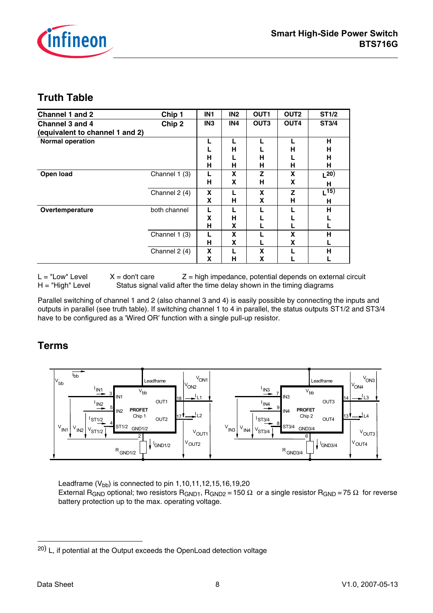

## **Truth Table**

| Channel 1 and 2                 | Chip 1        | IN <sub>1</sub> | IN <sub>2</sub> | OUT1             | OUT <sub>2</sub> | <b>ST1/2</b> |
|---------------------------------|---------------|-----------------|-----------------|------------------|------------------|--------------|
| Channel 3 and 4                 | Chip 2        | IN <sub>3</sub> | IN4             | OUT <sub>3</sub> | OUT4             | ST3/4        |
| (equivalent to channel 1 and 2) |               |                 |                 |                  |                  |              |
| <b>Normal operation</b>         |               |                 |                 |                  |                  | н            |
|                                 |               |                 | н               |                  | н                | н            |
|                                 |               | н               |                 | н                |                  | н            |
|                                 |               | н               | н               | н                | н                | н            |
| Open load                       | Channel 1 (3) |                 | X               | Z                | X                | $L^{20}$     |
|                                 |               | н               | X               | н                | X                | н            |
|                                 | Channel 2 (4) | X               |                 | X                | Z                | $L^{15}$     |
|                                 |               | x               | н               | X                | н                | н            |
| Overtemperature                 | both channel  |                 |                 |                  |                  | н            |
|                                 |               | x               | н               |                  |                  |              |
|                                 |               | н               | X               |                  |                  |              |
|                                 | Channel 1 (3) |                 | X               |                  | X                | н            |
|                                 |               | н               | X               |                  | X                |              |
|                                 | Channel 2 (4) | X               |                 | X                |                  | н            |
|                                 |               | x               | н               | X                |                  |              |

 $L = "Low" Level X = don't care Z = high impedance, potential depends on external circuit$ H = "High" Level Status signal valid after the time delay shown in the timing diagrams

Parallel switching of channel 1 and 2 (also channel 3 and 4) is easily possible by connecting the inputs and outputs in parallel (see truth table). If switching channel 1 to 4 in parallel, the status outputs ST1/2 and ST3/4 have to be configured as a 'Wired OR' function with a single pull-up resistor.

## **Terms**



Leadframe  $(V_{bb})$  is connected to pin 1,10,11,12,15,16,19,20

External R<sub>GND</sub> optional; two resistors R<sub>GND1</sub>, R<sub>GND2</sub> = 150 Ω or a single resistor R<sub>GND</sub> = 75 Ω for reverse battery protection up to the max. operating voltage.

<sup>20)</sup> L, if potential at the Output exceeds the OpenLoad detection voltage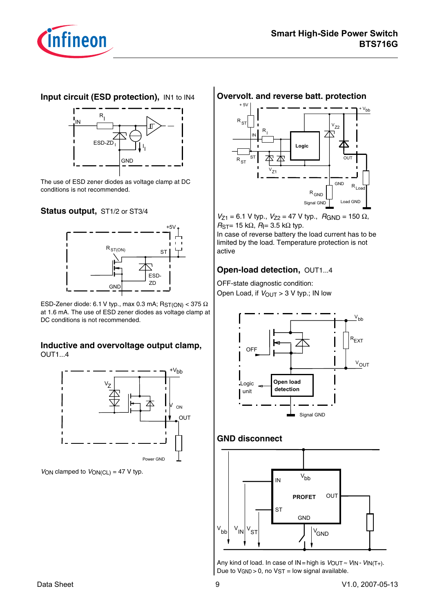

### **Input circuit (ESD protection),** IN1 to IN4



The use of ESD zener diodes as voltage clamp at DC conditions is not recommended.

#### **Status output,** ST1/2 or ST3/4



ESD-Zener diode: 6.1 V typ., max 0.3 mA;  $R_{ST(ON)} < 375 \Omega$ at 1.6 mA. The use of ESD zener diodes as voltage clamp at DC conditions is not recommended.

#### **Inductive and overvoltage output clamp,** OUT1...4



 $V_{ON}$  clamped to  $V_{ON(CL)} = 47$  V typ.

#### **Overvolt. and reverse batt. protection**



 $V_{Z1}$  = 6.1 V typ.,  $V_{Z2}$  = 47 V typ.,  $R_{GND}$  = 150  $\Omega$ ,  $R_{ST}$ = 15 kΩ,  $R$ |= 3.5 kΩ typ.

In case of reverse battery the load current has to be limited by the load. Temperature protection is not active

#### **Open-load detection,** OUT1...4

OFF-state diagnostic condition: Open Load, if  $V_{\text{OUT}} > 3$  V typ.; IN low



#### **GND disconnect**



Any kind of load. In case of  $IN = high$  is  $VOUT \approx VN - VIN(T+)$ . Due to  $V_{GND} > 0$ , no  $VST =$  low signal available.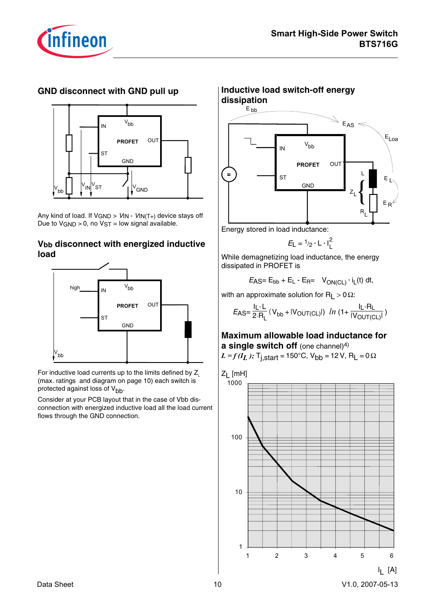

## **GND disconnect with GND pull up**



Any kind of load. If  $V_{GND} > V_{IN} - V_{IN(T+)}$  device stays off Due to  $VGND > 0$ , no  $VST = low$  signal available.

### **Vbb disconnect with energized inductive load**



For inductive load currents up to the limits defined by  $Z$ . (max. ratings and diagram on page 10) each switch is protected against loss of  $V_{bb}$ .

Consider at your PCB layout that in the case of Vbb disconnection with energized inductive load all the load current flows through the GND connection.

#### **Inductive load switch-off energy dissipation** PROFET V<sub>bb</sub> **IN** S<sub>T</sub> **OUT** GND **.**  $\mathsf{E}_{\mathsf{bb}}$  $_{\mathsf{E}_{\:\mathsf{L}}}$ E  $\mathbb{R}_{\mathsf{AS}} \ll$ R  $E_{\text{Loa}}$  $R^{\phantom{\dagger}}_{\mathsf{L}}$ L  $z_{L}$

Energy stored in load inductance:

$$
E_L = \frac{1}{2} \cdot L \cdot I_L^2
$$

While demagnetizing load inductance, the energy dissipated in PROFET is

 $E_{\text{AS}} = E_{\text{bb}} + E_{\text{L}} - E_{\text{R}} = V_{\text{ON}(CL)} \cdot i_{\text{L}}(t) dt$ 

with an approximate solution for R<sub>L</sub> > 0 $\Omega$ :

$$
E_{\text{AS}} = \frac{I_{\text{L}} \cdot L}{2 \cdot R_{\text{L}}}(V_{\text{bb}} + |V_{\text{OUT}(\text{CL})}|) \text{ } \ln \left(1 + \frac{I_{\text{L}} \cdot R_{\text{L}}}{|V_{\text{OUT}(\text{CL})}|}\right)
$$

## **Maximum allowable load inductance for a single switch off** (one channel)<sup>4)</sup>

$$
L = f(I_L)
$$
; T<sub>j,start</sub> = 150°C, V<sub>bb</sub> = 12 V, R<sub>L</sub> = 0 $\Omega$ 

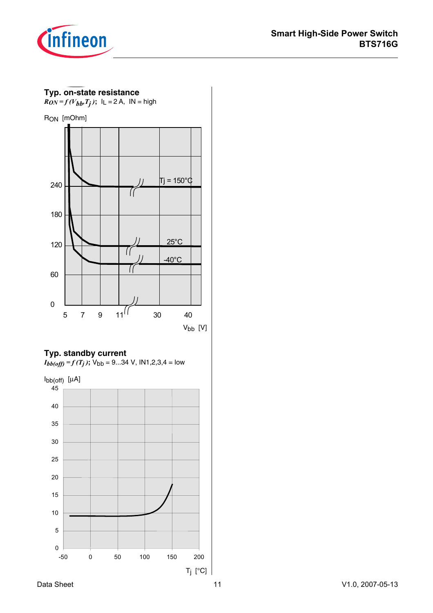



## **Typ. standby current**

 $I_{bb(off)} = f(T_j)$ ;  $V_{bb} = 9...34$  V,  $IN1,2,3,4 = low$ 

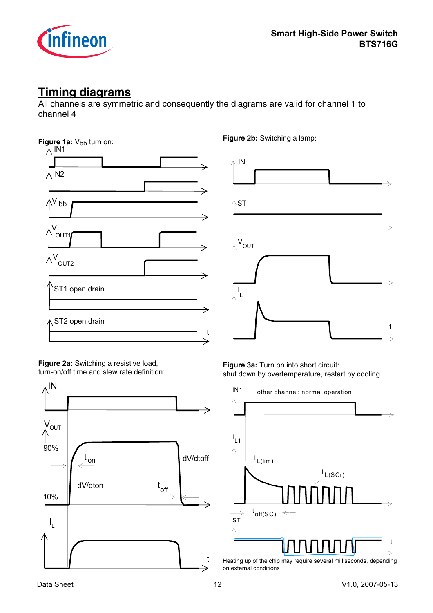

# **Timing diagrams**

All channels are symmetric and consequently the diagrams are valid for channel 1 to channel 4



Heating up of the chip may require several milliseconds, depending on external conditions

 $\mathbf t$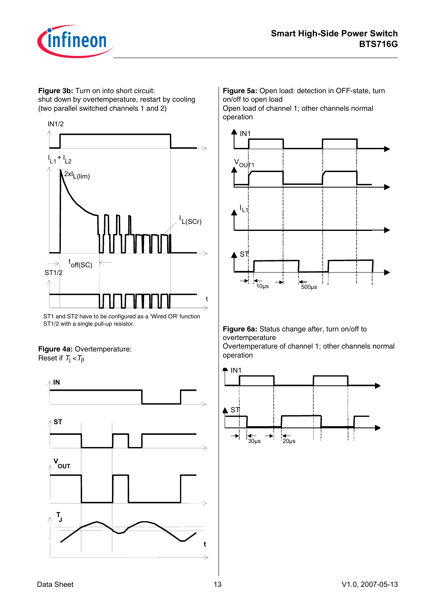

**Figure 3b:** Turn on into short circuit: shut down by overtemperature, restart by cooling (two parallel switched channels 1 and 2)



ST1 and ST2 have to be configured as a 'Wired OR' function ST1/2 with a single pull-up resistor.

#### **Figure 4a:** Overtemperature: Reset if  $T_i < T_{it}$



**Figure 5a:** Open load: detection in OFF-state, turn on/off to open load Open load of channel 1; other channels normal



#### **Figure 6a:** Status change after, turn on/off to overtemperature

Overtemperature of channel 1; other channels normal operation

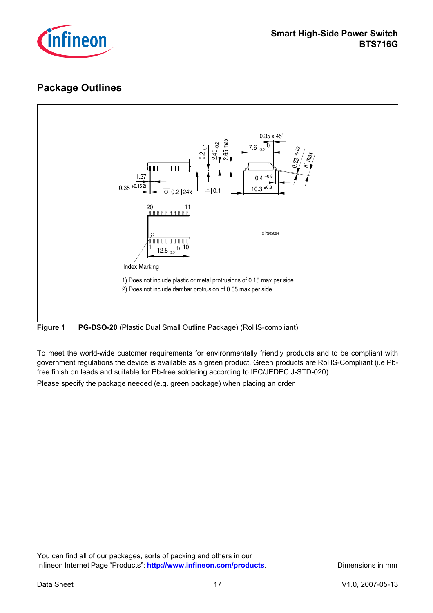

# **Package Outlines**



**Figure 1 PG-DSO-20** (Plastic Dual Small Outline Package) (RoHS-compliant)

To meet the world-wide customer requirements for environmentally friendly products and to be compliant with government regulations the device is available as a green product. Green products are RoHS-Compliant (i.e Pbfree finish on leads and suitable for Pb-free soldering according to IPC/JEDEC J-STD-020).

Please specify the package needed (e.g. green package) when placing an order

You can find all of our packages, sorts of packing and others in our Infineon Internet Page "Products": http://www.infineon.com/products. Dimensions in mm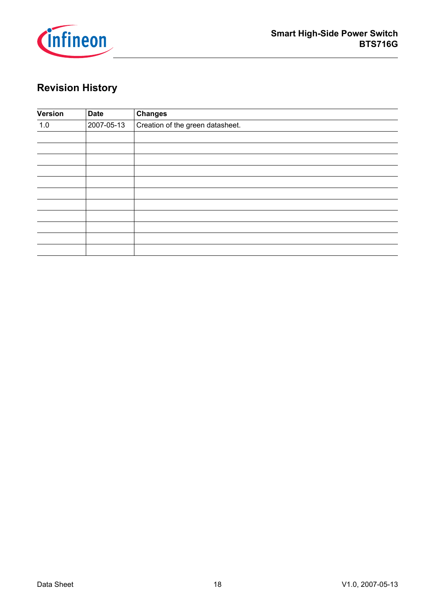

# **Revision History**

| Version | <b>Date</b> | <b>Changes</b>                   |
|---------|-------------|----------------------------------|
| 1.0     | 2007-05-13  | Creation of the green datasheet. |
|         |             |                                  |
|         |             |                                  |
|         |             |                                  |
|         |             |                                  |
|         |             |                                  |
|         |             |                                  |
|         |             |                                  |
|         |             |                                  |
|         |             |                                  |
|         |             |                                  |
|         |             |                                  |